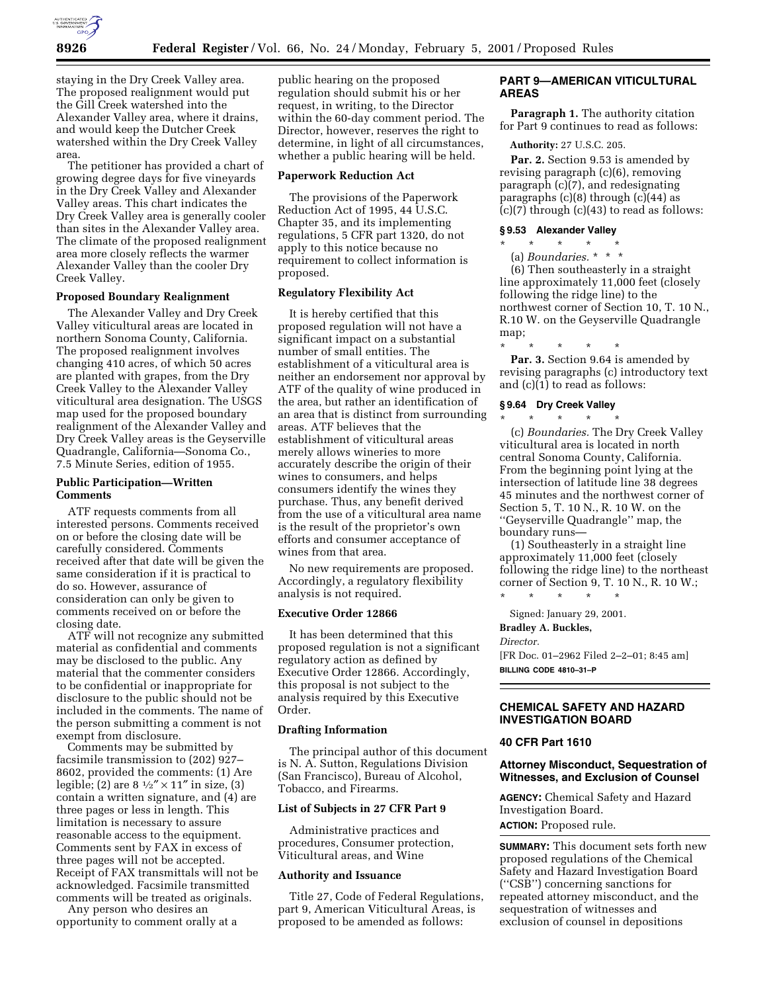

staying in the Dry Creek Valley area. The proposed realignment would put the Gill Creek watershed into the Alexander Valley area, where it drains, and would keep the Dutcher Creek watershed within the Dry Creek Valley area.

The petitioner has provided a chart of growing degree days for five vineyards in the Dry Creek Valley and Alexander Valley areas. This chart indicates the Dry Creek Valley area is generally cooler than sites in the Alexander Valley area. The climate of the proposed realignment area more closely reflects the warmer Alexander Valley than the cooler Dry Creek Valley.

## **Proposed Boundary Realignment**

The Alexander Valley and Dry Creek Valley viticultural areas are located in northern Sonoma County, California. The proposed realignment involves changing 410 acres, of which 50 acres are planted with grapes, from the Dry Creek Valley to the Alexander Valley viticultural area designation. The USGS map used for the proposed boundary realignment of the Alexander Valley and Dry Creek Valley areas is the Geyserville Quadrangle, California—Sonoma Co., 7.5 Minute Series, edition of 1955.

## **Public Participation—Written Comments**

ATF requests comments from all interested persons. Comments received on or before the closing date will be carefully considered. Comments received after that date will be given the same consideration if it is practical to do so. However, assurance of consideration can only be given to comments received on or before the closing date.

ATF will not recognize any submitted material as confidential and comments may be disclosed to the public. Any material that the commenter considers to be confidential or inappropriate for disclosure to the public should not be included in the comments. The name of the person submitting a comment is not exempt from disclosure.

Comments may be submitted by facsimile transmission to (202) 927– 8602, provided the comments: (1) Are legible; (2) are  $8\frac{1}{2}$  × 11" in size, (3) contain a written signature, and (4) are three pages or less in length. This limitation is necessary to assure reasonable access to the equipment. Comments sent by FAX in excess of three pages will not be accepted. Receipt of FAX transmittals will not be acknowledged. Facsimile transmitted comments will be treated as originals.

Any person who desires an opportunity to comment orally at a public hearing on the proposed regulation should submit his or her request, in writing, to the Director within the 60-day comment period. The Director, however, reserves the right to determine, in light of all circumstances, whether a public hearing will be held.

### **Paperwork Reduction Act**

The provisions of the Paperwork Reduction Act of 1995, 44 U.S.C. Chapter 35, and its implementing regulations, 5 CFR part 1320, do not apply to this notice because no requirement to collect information is proposed.

#### **Regulatory Flexibility Act**

It is hereby certified that this proposed regulation will not have a significant impact on a substantial number of small entities. The establishment of a viticultural area is neither an endorsement nor approval by ATF of the quality of wine produced in the area, but rather an identification of an area that is distinct from surrounding areas. ATF believes that the establishment of viticultural areas merely allows wineries to more accurately describe the origin of their wines to consumers, and helps consumers identify the wines they purchase. Thus, any benefit derived from the use of a viticultural area name is the result of the proprietor's own efforts and consumer acceptance of wines from that area.

No new requirements are proposed. Accordingly, a regulatory flexibility analysis is not required.

## **Executive Order 12866**

It has been determined that this proposed regulation is not a significant regulatory action as defined by Executive Order 12866. Accordingly, this proposal is not subject to the analysis required by this Executive Order.

#### **Drafting Information**

The principal author of this document is N. A. Sutton, Regulations Division (San Francisco), Bureau of Alcohol, Tobacco, and Firearms.

#### **List of Subjects in 27 CFR Part 9**

Administrative practices and procedures, Consumer protection, Viticultural areas, and Wine

## **Authority and Issuance**

Title 27, Code of Federal Regulations, part 9, American Viticultural Areas, is proposed to be amended as follows:

# **PART 9—AMERICAN VITICULTURAL AREAS**

**Paragraph 1.** The authority citation for Part 9 continues to read as follows:

## **Authority:** 27 U.S.C. 205.

Par. 2. Section 9.53 is amended by revising paragraph (c)(6), removing paragraph (c)(7), and redesignating paragraphs  $(c)(8)$  through  $(c)(44)$  as  $(c)(7)$  through  $(c)(43)$  to read as follows:

#### **§ 9.53 Alexander Valley** \* \* \* \* \*

(a) *Boundaries.* \*\*\* (6) Then southeasterly in a straight line approximately 11,000 feet (closely following the ridge line) to the northwest corner of Section 10, T. 10 N., R.10 W. on the Geyserville Quadrangle map;

\* \* \* \* \* Par. 3. Section 9.64 is amended by revising paragraphs (c) introductory text and (c)(1) to read as follows:

# **§ 9.64 Dry Creek Valley** \* \* \* \* \*

(c) *Boundaries.* The Dry Creek Valley viticultural area is located in north central Sonoma County, California. From the beginning point lying at the intersection of latitude line 38 degrees 45 minutes and the northwest corner of Section 5, T. 10 N., R. 10 W. on the ''Geyserville Quadrangle'' map, the boundary runs—

(1) Southeasterly in a straight line approximately 11,000 feet (closely following the ridge line) to the northeast corner of Section 9, T. 10 N., R. 10 W.;

\* \* \* \* \* Signed: January 29, 2001.

## **Bradley A. Buckles,**

*Director.* [FR Doc. 01–2962 Filed 2–2–01; 8:45 am] **BILLING CODE 4810–31–P**

## **CHEMICAL SAFETY AND HAZARD INVESTIGATION BOARD**

### **40 CFR Part 1610**

## **Attorney Misconduct, Sequestration of Witnesses, and Exclusion of Counsel**

**AGENCY:** Chemical Safety and Hazard Investigation Board. **ACTION:** Proposed rule.

**SUMMARY:** This document sets forth new proposed regulations of the Chemical Safety and Hazard Investigation Board (''CSB'') concerning sanctions for repeated attorney misconduct, and the sequestration of witnesses and exclusion of counsel in depositions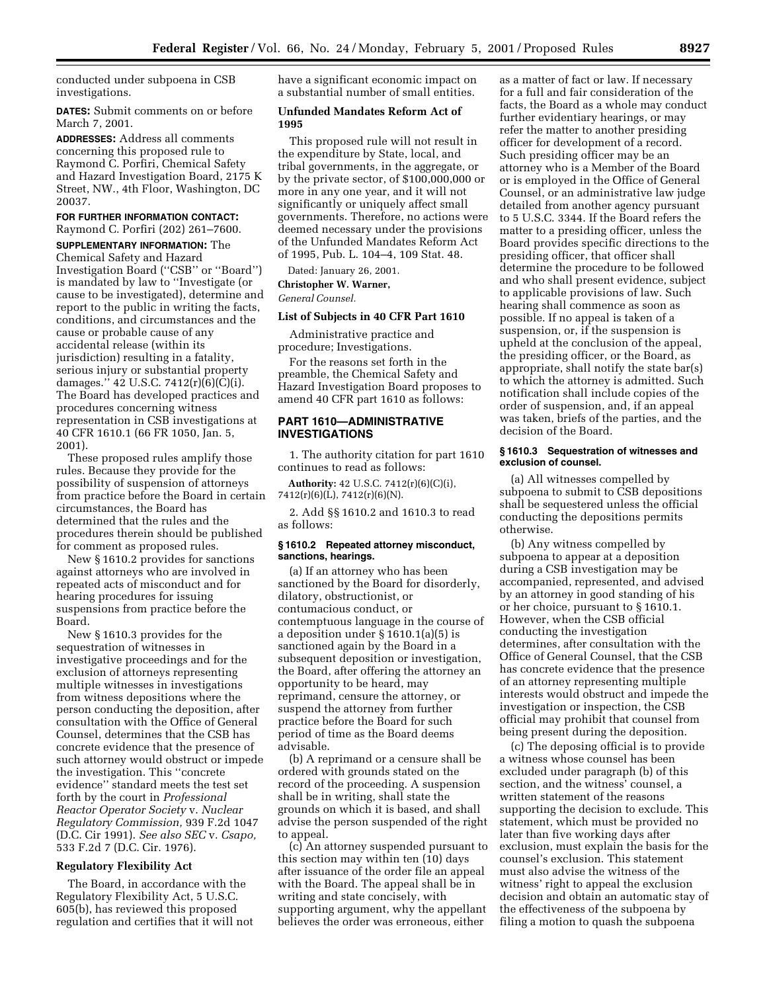conducted under subpoena in CSB investigations.

**DATES:** Submit comments on or before March 7, 2001.

**ADDRESSES:** Address all comments concerning this proposed rule to Raymond C. Porfiri, Chemical Safety and Hazard Investigation Board, 2175 K Street, NW., 4th Floor, Washington, DC 20037.

#### **FOR FURTHER INFORMATION CONTACT:** Raymond C. Porfiri (202) 261–7600.

**SUPPLEMENTARY INFORMATION:** The Chemical Safety and Hazard Investigation Board (''CSB'' or ''Board'') is mandated by law to ''Investigate (or cause to be investigated), determine and report to the public in writing the facts, conditions, and circumstances and the cause or probable cause of any accidental release (within its jurisdiction) resulting in a fatality, serious injury or substantial property damages." 42 U.S.C. 7412 $(r)(6)(C)(i)$ . The Board has developed practices and procedures concerning witness representation in CSB investigations at 40 CFR 1610.1 (66 FR 1050, Jan. 5, 2001).

These proposed rules amplify those rules. Because they provide for the possibility of suspension of attorneys from practice before the Board in certain circumstances, the Board has determined that the rules and the procedures therein should be published for comment as proposed rules.

New § 1610.2 provides for sanctions against attorneys who are involved in repeated acts of misconduct and for hearing procedures for issuing suspensions from practice before the Board.

New § 1610.3 provides for the sequestration of witnesses in investigative proceedings and for the exclusion of attorneys representing multiple witnesses in investigations from witness depositions where the person conducting the deposition, after consultation with the Office of General Counsel, determines that the CSB has concrete evidence that the presence of such attorney would obstruct or impede the investigation. This ''concrete evidence'' standard meets the test set forth by the court in *Professional Reactor Operator Society* v. *Nuclear Regulatory Commission,* 939 F.2d 1047 (D.C. Cir 1991). *See also SEC* v. *Csapo,* 533 F.2d 7 (D.C. Cir. 1976).

# **Regulatory Flexibility Act**

The Board, in accordance with the Regulatory Flexibility Act, 5 U.S.C. 605(b), has reviewed this proposed regulation and certifies that it will not have a significant economic impact on a substantial number of small entities.

# **Unfunded Mandates Reform Act of 1995**

This proposed rule will not result in the expenditure by State, local, and tribal governments, in the aggregate, or by the private sector, of \$100,000,000 or more in any one year, and it will not significantly or uniquely affect small governments. Therefore, no actions were deemed necessary under the provisions of the Unfunded Mandates Reform Act of 1995, Pub. L. 104–4, 109 Stat. 48.

Dated: January 26, 2001.

**Christopher W. Warner,** *General Counsel.*

# **List of Subjects in 40 CFR Part 1610**

Administrative practice and procedure; Investigations.

For the reasons set forth in the preamble, the Chemical Safety and Hazard Investigation Board proposes to amend 40 CFR part 1610 as follows:

# **PART 1610—ADMINISTRATIVE INVESTIGATIONS**

1. The authority citation for part 1610 continues to read as follows:

**Authority:** 42 U.S.C. 7412(r)(6)(C)(i), 7412(r)(6)(L), 7412(r)(6)(N).

2. Add §§ 1610.2 and 1610.3 to read as follows:

#### **§ 1610.2 Repeated attorney misconduct, sanctions, hearings.**

(a) If an attorney who has been sanctioned by the Board for disorderly, dilatory, obstructionist, or contumacious conduct, or contemptuous language in the course of a deposition under § 1610.1(a)(5) is sanctioned again by the Board in a subsequent deposition or investigation, the Board, after offering the attorney an opportunity to be heard, may reprimand, censure the attorney, or suspend the attorney from further practice before the Board for such period of time as the Board deems advisable.

(b) A reprimand or a censure shall be ordered with grounds stated on the record of the proceeding. A suspension shall be in writing, shall state the grounds on which it is based, and shall advise the person suspended of the right to appeal.

(c) An attorney suspended pursuant to this section may within ten (10) days after issuance of the order file an appeal with the Board. The appeal shall be in writing and state concisely, with supporting argument, why the appellant believes the order was erroneous, either

as a matter of fact or law. If necessary for a full and fair consideration of the facts, the Board as a whole may conduct further evidentiary hearings, or may refer the matter to another presiding officer for development of a record. Such presiding officer may be an attorney who is a Member of the Board or is employed in the Office of General Counsel, or an administrative law judge detailed from another agency pursuant to 5 U.S.C. 3344. If the Board refers the matter to a presiding officer, unless the Board provides specific directions to the presiding officer, that officer shall determine the procedure to be followed and who shall present evidence, subject to applicable provisions of law. Such hearing shall commence as soon as possible. If no appeal is taken of a suspension, or, if the suspension is upheld at the conclusion of the appeal, the presiding officer, or the Board, as appropriate, shall notify the state bar(s) to which the attorney is admitted. Such notification shall include copies of the order of suspension, and, if an appeal was taken, briefs of the parties, and the decision of the Board.

#### **§ 1610.3 Sequestration of witnesses and exclusion of counsel.**

(a) All witnesses compelled by subpoena to submit to CSB depositions shall be sequestered unless the official conducting the depositions permits otherwise.

(b) Any witness compelled by subpoena to appear at a deposition during a CSB investigation may be accompanied, represented, and advised by an attorney in good standing of his or her choice, pursuant to § 1610.1. However, when the CSB official conducting the investigation determines, after consultation with the Office of General Counsel, that the CSB has concrete evidence that the presence of an attorney representing multiple interests would obstruct and impede the investigation or inspection, the CSB official may prohibit that counsel from being present during the deposition.

(c) The deposing official is to provide a witness whose counsel has been excluded under paragraph (b) of this section, and the witness' counsel, a written statement of the reasons supporting the decision to exclude. This statement, which must be provided no later than five working days after exclusion, must explain the basis for the counsel's exclusion. This statement must also advise the witness of the witness' right to appeal the exclusion decision and obtain an automatic stay of the effectiveness of the subpoena by filing a motion to quash the subpoena